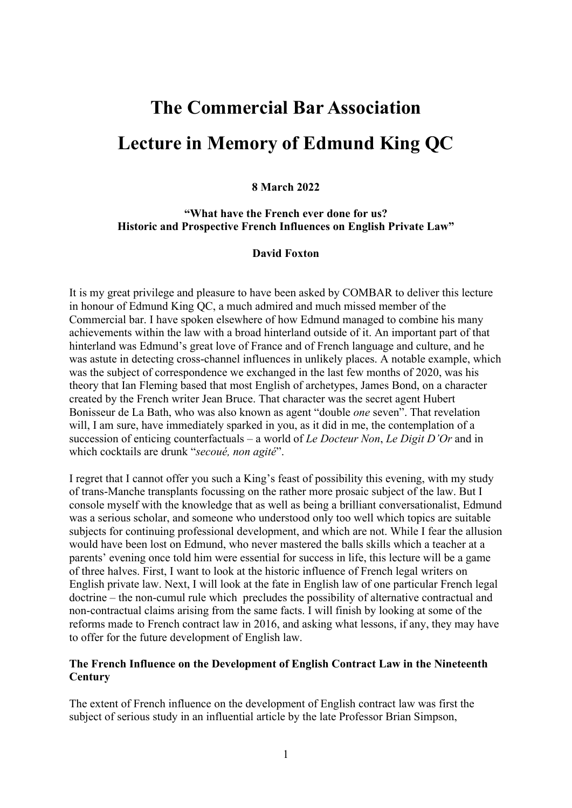# **The Commercial Bar Association Lecture in Memory of Edmund King QC**

## **8 March 2022**

## **"What have the French ever done for us? Historic and Prospective French Influences on English Private Law"**

## **David Foxton**

It is my great privilege and pleasure to have been asked by COMBAR to deliver this lecture in honour of Edmund King QC, a much admired and much missed member of the Commercial bar. I have spoken elsewhere of how Edmund managed to combine his many achievements within the law with a broad hinterland outside of it. An important part of that hinterland was Edmund's great love of France and of French language and culture, and he was astute in detecting cross-channel influences in unlikely places. A notable example, which was the subject of correspondence we exchanged in the last few months of 2020, was his theory that Ian Fleming based that most English of archetypes, James Bond, on a character created by the French writer Jean Bruce. That character was the secret agent Hubert Bonisseur de La Bath, who was also known as agent "double *one* seven". That revelation will, I am sure, have immediately sparked in you, as it did in me, the contemplation of a succession of enticing counterfactuals – a world of *Le Docteur Non*, *Le Digit D'Or* and in which cocktails are drunk "*secoué, non agité*".

I regret that I cannot offer you such a King's feast of possibility this evening, with my study of trans-Manche transplants focussing on the rather more prosaic subject of the law. But I console myself with the knowledge that as well as being a brilliant conversationalist, Edmund was a serious scholar, and someone who understood only too well which topics are suitable subjects for continuing professional development, and which are not. While I fear the allusion would have been lost on Edmund, who never mastered the balls skills which a teacher at a parents' evening once told him were essential for success in life, this lecture will be a game of three halves. First, I want to look at the historic influence of French legal writers on English private law. Next, I will look at the fate in English law of one particular French legal doctrine – the non-cumul rule which precludes the possibility of alternative contractual and non-contractual claims arising from the same facts. I will finish by looking at some of the reforms made to French contract law in 2016, and asking what lessons, if any, they may have to offer for the future development of English law.

## **The French Influence on the Development of English Contract Law in the Nineteenth Century**

The extent of French influence on the development of English contract law was first the subject of serious study in an influential article by the late Professor Brian Simpson,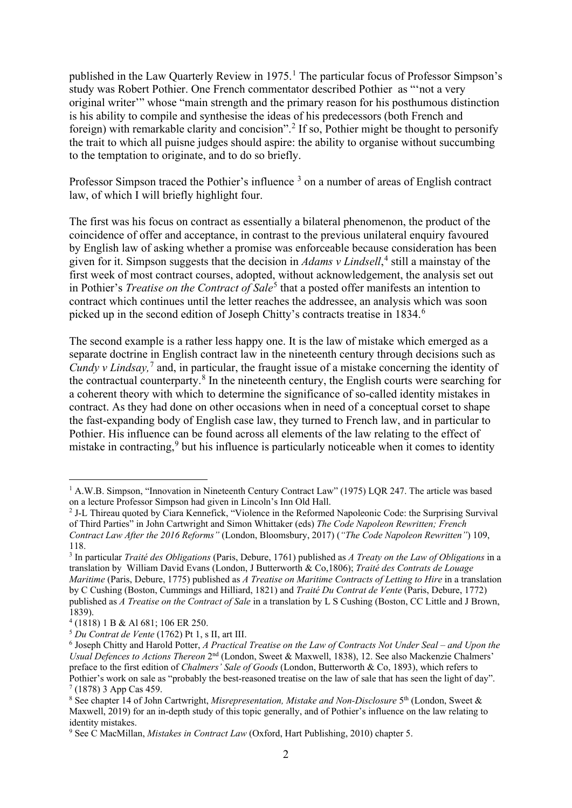published in the Law Quarterly Review in [1](#page-1-0)975.<sup>1</sup> The particular focus of Professor Simpson's study was Robert Pothier. One French commentator described Pothier as "'not a very original writer'" whose "main strength and the primary reason for his posthumous distinction is his ability to compile and synthesise the ideas of his predecessors (both French and foreign) with remarkable clarity and concision".<sup>[2](#page-1-1)</sup> If so, Pothier might be thought to personify the trait to which all puisne judges should aspire: the ability to organise without succumbing to the temptation to originate, and to do so briefly.

Professor Simpson traced the Pothier's influence<sup>[3](#page-1-2)</sup> on a number of areas of English contract law, of which I will briefly highlight four.

The first was his focus on contract as essentially a bilateral phenomenon, the product of the coincidence of offer and acceptance, in contrast to the previous unilateral enquiry favoured by English law of asking whether a promise was enforceable because consideration has been given for it. Simpson suggests that the decision in *Adams v Lindsell*, [4](#page-1-3) still a mainstay of the first week of most contract courses, adopted, without acknowledgement, the analysis set out in Pothier's *Treatise on the Contract of Sale*<sup>[5](#page-1-4)</sup> that a posted offer manifests an intention to contract which continues until the letter reaches the addressee, an analysis which was soon picked up in the second edition of Joseph Chitty's contracts treatise in 1834.<sup>[6](#page-1-5)</sup>

The second example is a rather less happy one. It is the law of mistake which emerged as a separate doctrine in English contract law in the nineteenth century through decisions such as *Cundy v Lindsay*,<sup>[7](#page-1-6)</sup> and, in particular, the fraught issue of a mistake concerning the identity of the contractual counterparty.[8](#page-1-7) In the nineteenth century, the English courts were searching for a coherent theory with which to determine the significance of so-called identity mistakes in contract. As they had done on other occasions when in need of a conceptual corset to shape the fast-expanding body of English case law, they turned to French law, and in particular to Pothier. His influence can be found across all elements of the law relating to the effect of mistake in contracting,<sup>[9](#page-1-8)</sup> but his influence is particularly noticeable when it comes to identity

<span id="page-1-0"></span><sup>1</sup> A.W.B. Simpson, "Innovation in Nineteenth Century Contract Law" (1975) LQR 247. The article was based on a lecture Professor Simpson had given in Lincoln's Inn Old Hall.

<span id="page-1-1"></span><sup>2</sup> J-L Thireau quoted by Ciara Kennefick, "Violence in the Reformed Napoleonic Code: the Surprising Survival of Third Parties" in John Cartwright and Simon Whittaker (eds) *The Code Napoleon Rewritten; French Contract Law After the 2016 Reforms"* (London, Bloomsbury, 2017) (*"The Code Napoleon Rewritten"*) 109, 118.

<span id="page-1-2"></span><sup>3</sup> In particular *Traité des Obligations* (Paris, Debure, 1761) published as *A Treaty on the Law of Obligations* in a translation by William David Evans (London, J Butterworth & Co,1806); *Traité des Contrats de Louage Maritime* (Paris, Debure, 1775) published as *A Treatise on Maritime Contracts of Letting to Hire* in a translation by C Cushing (Boston, Cummings and Hilliard, 1821) and *Traité Du Contrat de Vente* (Paris, Debure, 1772) published as *A Treatise on the Contract of Sale* in a translation by L S Cushing (Boston, CC Little and J Brown,

<sup>1839). 4</sup> (1818) 1 B & Al 681; 106 ER 250.

<span id="page-1-4"></span><span id="page-1-3"></span><sup>5</sup> *Du Contrat de Vente* (1762) Pt 1, s II, art III.

<span id="page-1-5"></span><sup>6</sup> Joseph Chitty and Harold Potter, *A Practical Treatise on the Law of Contracts Not Under Seal – and Upon the Usual Defences to Actions Thereon* 2nd (London, Sweet & Maxwell, 1838), 12. See also Mackenzie Chalmers' preface to the first edition of *Chalmers' Sale of Goods* (London, Butterworth & Co, 1893), which refers to Pothier's work on sale as "probably the best-reasoned treatise on the law of sale that has seen the light of day".  $7(1878)$  3 App Cas 459.

<span id="page-1-7"></span><span id="page-1-6"></span><sup>8</sup> See chapter 14 of John Cartwright, *Misrepresentation, Mistake and Non-Disclosure* 5th (London, Sweet & Maxwell, 2019) for an in-depth study of this topic generally, and of Pothier's influence on the law relating to identity mistakes.

<span id="page-1-8"></span><sup>9</sup> See C MacMillan, *Mistakes in Contract Law* (Oxford, Hart Publishing, 2010) chapter 5.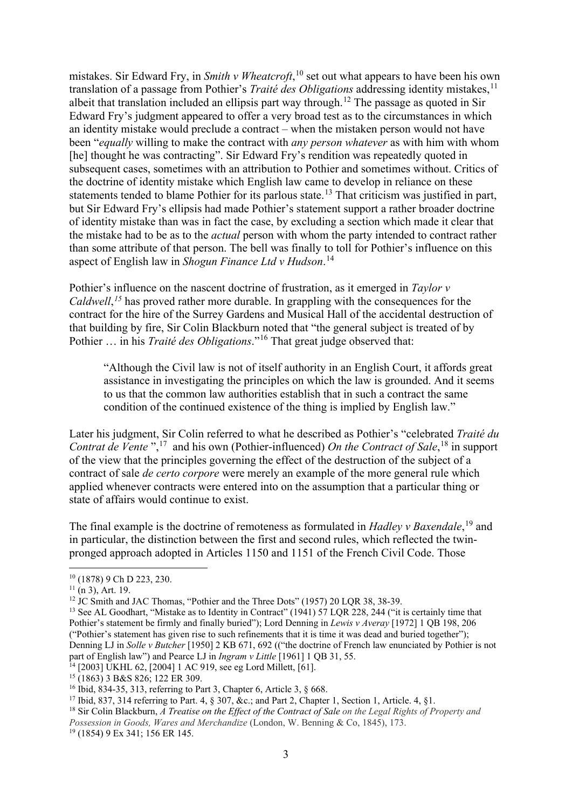mistakes. Sir Edward Fry, in *Smith v Wheatcroft*, [10](#page-2-0) set out what appears to have been his own translation of a passage from Pothier's *Traité des Obligations* addressing identity mistakes,<sup>[11](#page-2-1)</sup> albeit that translation included an ellipsis part way through.<sup>[12](#page-2-2)</sup> The passage as quoted in Sir Edward Fry's judgment appeared to offer a very broad test as to the circumstances in which an identity mistake would preclude a contract – when the mistaken person would not have been "*equally* willing to make the contract with *any person whatever* as with him with whom [he] thought he was contracting". Sir Edward Fry's rendition was repeatedly quoted in subsequent cases, sometimes with an attribution to Pothier and sometimes without. Critics of the doctrine of identity mistake which English law came to develop in reliance on these statements tended to blame Pothier for its parlous state.<sup>[13](#page-2-3)</sup> That criticism was justified in part, but Sir Edward Fry's ellipsis had made Pothier's statement support a rather broader doctrine of identity mistake than was in fact the case, by excluding a section which made it clear that the mistake had to be as to the *actual* person with whom the party intended to contract rather than some attribute of that person. The bell was finally to toll for Pothier's influence on this aspect of English law in *Shogun Finance Ltd v Hudson*. [14](#page-2-4)

Pothier's influence on the nascent doctrine of frustration, as it emerged in *Taylor v Caldwell*, *[15](#page-2-5)* has proved rather more durable. In grappling with the consequences for the contract for the hire of the Surrey Gardens and Musical Hall of the accidental destruction of that building by fire, Sir Colin Blackburn noted that "the general subject is treated of by Pothier … in his *Traité des Obligations*."[16](#page-2-6) That great judge observed that:

"Although the Civil law is not of itself authority in an English Court, it affords great assistance in investigating the principles on which the law is grounded. And it seems to us that the common law authorities establish that in such a contract the same condition of the continued existence of the thing is implied by English law."

Later his judgment, Sir Colin referred to what he described as Pothier's "celebrated *Traité du Contrat de Vente* ",<sup>17</sup> and his own (Pothier-influenced) *On the Contract of Sale*,<sup>[18](#page-2-8)</sup> in support of the view that the principles governing the effect of the destruction of the subject of a contract of sale *de certo corpore* were merely an example of the more general rule which applied whenever contracts were entered into on the assumption that a particular thing or state of affairs would continue to exist.

The final example is the doctrine of remoteness as formulated in *Hadley v Baxendale*,<sup>[19](#page-2-9)</sup> and in particular, the distinction between the first and second rules, which reflected the twinpronged approach adopted in Articles 1150 and 1151 of the French Civil Code. Those

<span id="page-2-0"></span><sup>10</sup> (1878) 9 Ch D 223, 230.

<span id="page-2-1"></span> $11$  (n 3), Art. 19.

<span id="page-2-2"></span><sup>&</sup>lt;sup>12</sup> JC Smith and JAC Thomas, "Pothier and the Three Dots" (1957) 20 LQR 38, 38-39.

<span id="page-2-3"></span><sup>&</sup>lt;sup>13</sup> See AL Goodhart, "Mistake as to Identity in Contract" (1941) 57 LQR 228, 244 ("it is certainly time that Pothier's statement be firmly and finally buried"); Lord Denning in *Lewis v Averay* [1972] 1 QB 198, 206 ("Pothier's statement has given rise to such refinements that it is time it was dead and buried together"); Denning LJ in *Solle v Butcher* [1950] 2 KB 671, 692 (("the doctrine of French law enunciated by Pothier is not part of English law") and Pearce LJ in *Ingram v Little* [1961] 1 QB 31, 55.

<span id="page-2-5"></span>

<span id="page-2-4"></span><sup>&</sup>lt;sup>14</sup> [2003] UKHL 62, [2004] 1 AC 919, see eg Lord Millett, [61].<br><sup>15</sup> (1863) 3 B&S 826; 122 ER 309.<br><sup>16</sup> Ibid, 834-35, 313, referring to Part 3, Chapter 6, Article 3, § 668.

<span id="page-2-8"></span><span id="page-2-7"></span><span id="page-2-6"></span><sup>&</sup>lt;sup>17</sup> Ibid, 837, 314 referring to Part. 4, § 307, &c.; and Part 2, Chapter 1, Section 1, Article. 4, § 1.<br><sup>18</sup> Sir Colin Blackburn, *A Treatise on the Effect of the Contract of Sale on the Legal Rights of Property and Possession in Goods, Wares and Merchandize* (London, W. Benning & Co, 1845), 173.

<span id="page-2-9"></span><sup>19</sup> (1854) 9 Ex 341; 156 ER 145.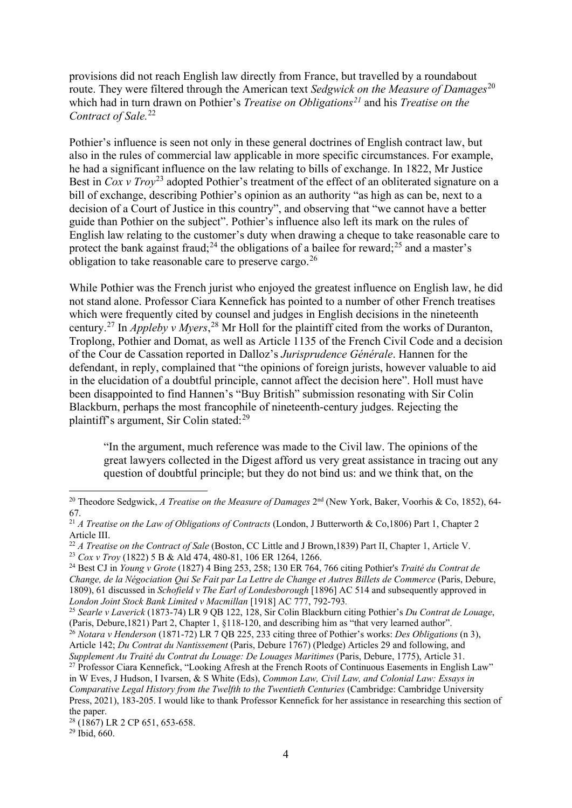provisions did not reach English law directly from France, but travelled by a roundabout route. They were filtered through the American text *Sedgwick on the Measure of Damages*[20](#page-3-0) which had in turn drawn on Pothier's *Treatise on Obligations[21](#page-3-1)* and his *Treatise on the Contract of Sale.*[22](#page-3-2)

Pothier's influence is seen not only in these general doctrines of English contract law, but also in the rules of commercial law applicable in more specific circumstances. For example, he had a significant influence on the law relating to bills of exchange. In 1822, Mr Justice Best in *Cox v Troy*<sup>[23](#page-3-3)</sup> adopted Pothier's treatment of the effect of an obliterated signature on a bill of exchange, describing Pothier's opinion as an authority "as high as can be, next to a decision of a Court of Justice in this country", and observing that "we cannot have a better guide than Pothier on the subject". Pothier's influence also left its mark on the rules of English law relating to the customer's duty when drawing a cheque to take reasonable care to protect the bank against fraud;<sup>24</sup> the obligations of a bailee for reward;<sup>25</sup> and a master's obligation to take reasonable care to preserve cargo.<sup>[26](#page-3-6)</sup>

While Pothier was the French jurist who enjoyed the greatest influence on English law, he did not stand alone. Professor Ciara Kennefick has pointed to a number of other French treatises which were frequently cited by counsel and judges in English decisions in the nineteenth century.[27](#page-3-7) In *Appleby v Myers*, [28](#page-3-8) Mr Holl for the plaintiff cited from the works of Duranton, Troplong, Pothier and Domat, as well as Article 1135 of the French Civil Code and a decision of the Cour de Cassation reported in Dalloz's *Jurisprudence Générale*. Hannen for the defendant, in reply, complained that "the opinions of foreign jurists, however valuable to aid in the elucidation of a doubtful principle, cannot affect the decision here". Holl must have been disappointed to find Hannen's "Buy British" submission resonating with Sir Colin Blackburn, perhaps the most francophile of nineteenth-century judges. Rejecting the plaintiff's argument, Sir Colin stated:[29](#page-3-9)

"In the argument, much reference was made to the Civil law. The opinions of the great lawyers collected in the Digest afford us very great assistance in tracing out any question of doubtful principle; but they do not bind us: and we think that, on the

<span id="page-3-0"></span><sup>&</sup>lt;sup>20</sup> Theodore Sedgwick, *A Treatise on the Measure of Damages* 2<sup>nd</sup> (New York, Baker, Voorhis & Co, 1852), 64-67.

<span id="page-3-1"></span><sup>21</sup> *A Treatise on the Law of Obligations of Contracts* (London, J Butterworth & Co,1806) Part 1, Chapter 2 Article III.

<span id="page-3-2"></span><sup>&</sup>lt;sup>22</sup> *A Treatise on the Contract of Sale* (Boston, CC Little and J Brown,1839) Part II, Chapter 1, Article V.

<span id="page-3-3"></span><sup>23</sup> *Cox v Troy* (1822) 5 B & Ald 474, 480-81, 106 ER 1264, 1266.

<span id="page-3-4"></span><sup>24</sup> Best CJ in *Young v Grote* (1827) 4 Bing 253, 258; 130 ER 764, 766 citing Pothier's *Traité du Contrat de Change, de la Négociation Qui Se Fait par La Lettre de Change et Autres Billets de Commerce* (Paris, Debure, 1809), 61 discussed in *Schofield v The Earl of Londesborough* [1896] AC 514 and subsequently approved in *London Joint Stock Bank Limited v Macmillan* [1918] AC 777, 792-793*.*

<span id="page-3-5"></span><sup>25</sup> *Searle v Laverick* (1873-74) LR 9 QB 122, 128, Sir Colin Blackburn citing Pothier's *Du Contrat de Louage*, (Paris, Debure,1821) Part 2, Chapter 1, §118-120, and describing him as "that very learned author".

<span id="page-3-6"></span><sup>26</sup> *Notara v Henderson* (1871-72) LR 7 QB 225, 233 citing three of Pothier's works: *Des Obligations* (n 3), Article 142; *Du Contrat du Nantissement* (Paris, Debure 1767) (Pledge) Articles 29 and following, and

<span id="page-3-7"></span>*Supplement Au Traité du Contrat du Louage: De Louages Maritimes* (Paris, Debure, 1775), Article 31. <sup>27</sup> Professor Ciara Kennefick, "Looking Afresh at the French Roots of Continuous Easements in English Law" in W Eves, J Hudson, I Ivarsen, & S White (Eds), *Common Law, Civil Law, and Colonial Law: Essays in Comparative Legal History from the Twelfth to the Twentieth Centuries* (Cambridge: Cambridge University Press, 2021), 183-205. I would like to thank Professor Kennefick for her assistance in researching this section of the paper.

<span id="page-3-8"></span> $28$  (1867) LR 2 CP 651, 653-658.

<span id="page-3-9"></span> $29$  Ibid, 660.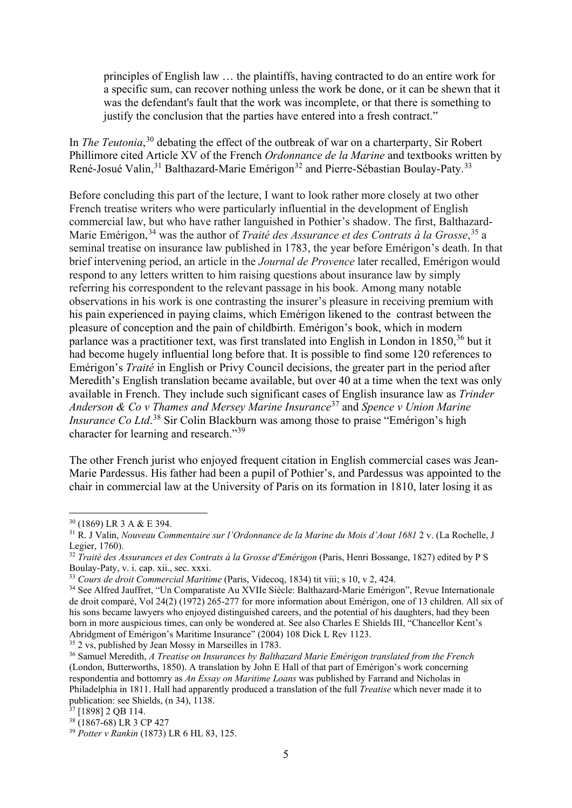principles of English law … the plaintiffs, having contracted to do an entire work for a specific sum, can recover nothing unless the work be done, or it can be shewn that it was the defendant's fault that the work was incomplete, or that there is something to justify the conclusion that the parties have entered into a fresh contract."

In *The Teutonia*, [30](#page-4-0) debating the effect of the outbreak of war on a charterparty, Sir Robert Phillimore cited Article XV of the French *Ordonnance de la Marine* and textbooks written by René-Josué Valin,<sup>[31](#page-4-1)</sup> Balthazard-Marie Emérigon<sup>[32](#page-4-2)</sup> and Pierre-Sébastian Boulay-Paty.<sup>[33](#page-4-3)</sup>

Before concluding this part of the lecture, I want to look rather more closely at two other French treatise writers who were particularly influential in the development of English commercial law, but who have rather languished in Pothier's shadow. The first, Balthazard-Marie Emérigon, [34](#page-4-4) was the author of *Traité des Assurance et des Contrats à la Grosse*, [35](#page-4-5) a seminal treatise on insurance law published in 1783, the year before Emérigon's death. In that brief intervening period, an article in the *Journal de Provence* later recalled, Emérigon would respond to any letters written to him raising questions about insurance law by simply referring his correspondent to the relevant passage in his book. Among many notable observations in his work is one contrasting the insurer's pleasure in receiving premium with his pain experienced in paying claims, which Emérigon likened to the contrast between the pleasure of conception and the pain of childbirth. Emérigon's book, which in modern parlance was a practitioner text, was first translated into English in London in  $1850$ ,  $36$  but it had become hugely influential long before that. It is possible to find some 120 references to Emérigon's *Traité* in English or Privy Council decisions, the greater part in the period after Meredith's English translation became available, but over 40 at a time when the text was only available in French. They include such significant cases of English insurance law as *Trinder Anderson & Co v Thames and Mersey Marine Insurance*[37](#page-4-7) and *Spence v Union Marine Insurance Co Ltd*. [38](#page-4-8) Sir Colin Blackburn was among those to praise "Emérigon's high character for learning and research."[39](#page-4-9)

The other French jurist who enjoyed frequent citation in English commercial cases was Jean-Marie Pardessus. His father had been a pupil of Pothier's, and Pardessus was appointed to the chair in commercial law at the University of Paris on its formation in 1810, later losing it as

<span id="page-4-5"></span>

<span id="page-4-1"></span><span id="page-4-0"></span><sup>&</sup>lt;sup>30</sup> (1869) LR 3 A & E 394.<br><sup>31</sup> R. J Valin, *Nouveau Commentaire sur l'Ordonnance de la Marine du Mois d'Aout 1681* 2 v. (La Rochelle, J<br>Legier, 1760).

<span id="page-4-2"></span><sup>&</sup>lt;sup>32</sup> *Traité des Assurances et des Contrats à la Grosse d'Emérigon* (Paris, Henri Bossange, 1827) edited by P S Boulay-Paty, v. i. cap. xii., sec. xxxi.

<span id="page-4-3"></span><sup>33</sup> *Cours de droit Commercial Maritime* (Paris, Videcoq, 1834) tit viii; s 10, v 2, 424.

<span id="page-4-4"></span><sup>34</sup> See Alfred Jauffret, "Un Comparatiste Au XVIIe Siècle: Balthazard-Marie Emérigon", Revue Internationale de droit comparé, Vol 24(2) (1972) 265-277 for more information about Emérigon, one of 13 children. All six of his sons became lawyers who enjoyed distinguished careers, and the potential of his daughters, had they been born in more auspicious times, can only be wondered at. See also Charles E Shields III, "Chancellor Kent's Abridgment of Emérigon's Maritime Insurance" (2004) 108 Dick L Rev 1123. 35 2 vs, published by Jean Mossy in Marseilles in 1783.

<span id="page-4-6"></span><sup>36</sup> Samuel Meredith, *A Treatise on Insurances by Balthazard Marie Emérigon translated from the French*  (London, Butterworths, 1850). A translation by John E Hall of that part of Emérigon's work concerning respondentia and bottomry as *An Essay on Maritime Loans* was published by Farrand and Nicholas in Philadelphia in 1811. Hall had apparently produced a translation of the full *Treatise* which never made it to publication: see Shields, (n 34), 1138.

<span id="page-4-7"></span> $\frac{37}{37}$  [1898] 2 QB 114.<br> $\frac{38}{36}$  (1867-68) LR 3 CP 427

<span id="page-4-9"></span><span id="page-4-8"></span><sup>&</sup>lt;sup>39</sup> Potter v Rankin (1873) LR 6 HL 83, 125.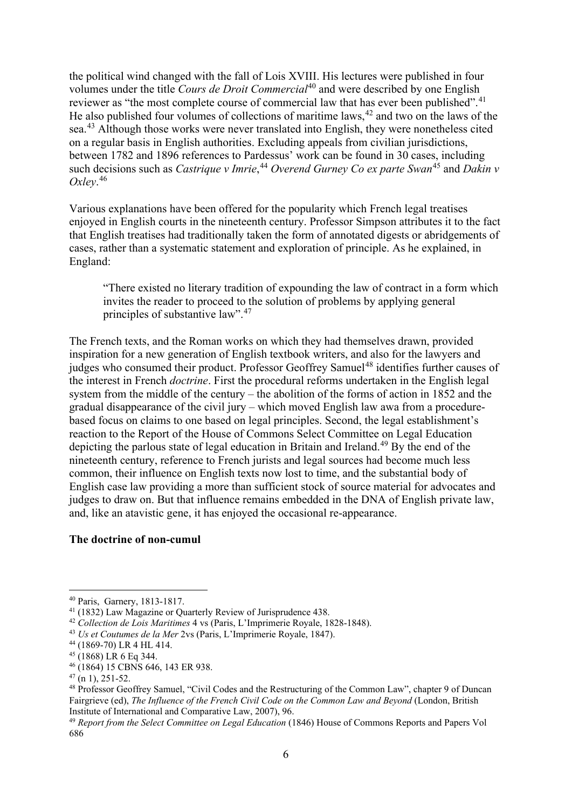the political wind changed with the fall of Lois XVIII. His lectures were published in four volumes under the title *Cours de Droit Commercial*[40](#page-5-0) and were described by one English reviewer as "the most complete course of commercial law that has ever been published".<sup>[41](#page-5-1)</sup> He also published four volumes of collections of maritime laws,  $42$  and two on the laws of the sea.<sup>[43](#page-5-3)</sup> Although those works were never translated into English, they were nonetheless cited on a regular basis in English authorities. Excluding appeals from civilian jurisdictions, between 1782 and 1896 references to Pardessus' work can be found in 30 cases, including such decisions such as *Castrique v Imrie*,<sup>[44](#page-5-4)</sup> *Overend Gurney Co ex parte Swan*<sup>45</sup> and *Dakin v Oxley*. [46](#page-5-6)

Various explanations have been offered for the popularity which French legal treatises enjoyed in English courts in the nineteenth century. Professor Simpson attributes it to the fact that English treatises had traditionally taken the form of annotated digests or abridgements of cases, rather than a systematic statement and exploration of principle. As he explained, in England:

"There existed no literary tradition of expounding the law of contract in a form which invites the reader to proceed to the solution of problems by applying general principles of substantive law".<sup>[47](#page-5-7)</sup>

The French texts, and the Roman works on which they had themselves drawn, provided inspiration for a new generation of English textbook writers, and also for the lawyers and judges who consumed their product. Professor Geoffrey Samuel<sup>[48](#page-5-8)</sup> identifies further causes of the interest in French *doctrine*. First the procedural reforms undertaken in the English legal system from the middle of the century – the abolition of the forms of action in 1852 and the gradual disappearance of the civil jury – which moved English law awa from a procedurebased focus on claims to one based on legal principles. Second, the legal establishment's reaction to the Report of the House of Commons Select Committee on Legal Education depicting the parlous state of legal education in Britain and Ireland.<sup>[49](#page-5-9)</sup> By the end of the nineteenth century, reference to French jurists and legal sources had become much less common, their influence on English texts now lost to time, and the substantial body of English case law providing a more than sufficient stock of source material for advocates and judges to draw on. But that influence remains embedded in the DNA of English private law, and, like an atavistic gene, it has enjoyed the occasional re-appearance.

#### **The doctrine of non-cumul**

<span id="page-5-0"></span><sup>&</sup>lt;sup>40</sup> Paris, Garnery, 1813-1817.<br><sup>41</sup> (1832) Law Magazine or Ouarterly Review of Jurisprudence 438.

<span id="page-5-2"></span><span id="page-5-1"></span><sup>&</sup>lt;sup>42</sup> Collection de Lois Maritimes 4 vs (Paris, L'Imprimerie Royale, 1828-1848). <sup>43</sup> *Us et Coutumes de la Mer* 2vs (Paris, L'Imprimerie Royale, 1847).

<span id="page-5-4"></span><span id="page-5-3"></span><sup>44</sup> (1869-70) LR 4 HL 414.

<span id="page-5-5"></span> $45(1868)$  LR 6 Eq 344.

<span id="page-5-6"></span><sup>46</sup> (1864) 15 CBNS 646, 143 ER 938.

<span id="page-5-7"></span> $47 \n(n 1), 251-52.$ 

<span id="page-5-8"></span><sup>48</sup> Professor Geoffrey Samuel, "Civil Codes and the Restructuring of the Common Law", chapter 9 of Duncan Fairgrieve (ed), *The Influence of the French Civil Code on the Common Law and Beyond* (London, British Institute of International and Comparative Law, 2007), 96.

<span id="page-5-9"></span><sup>49</sup> *Report from the Select Committee on Legal Education* (1846) House of Commons Reports and Papers Vol 686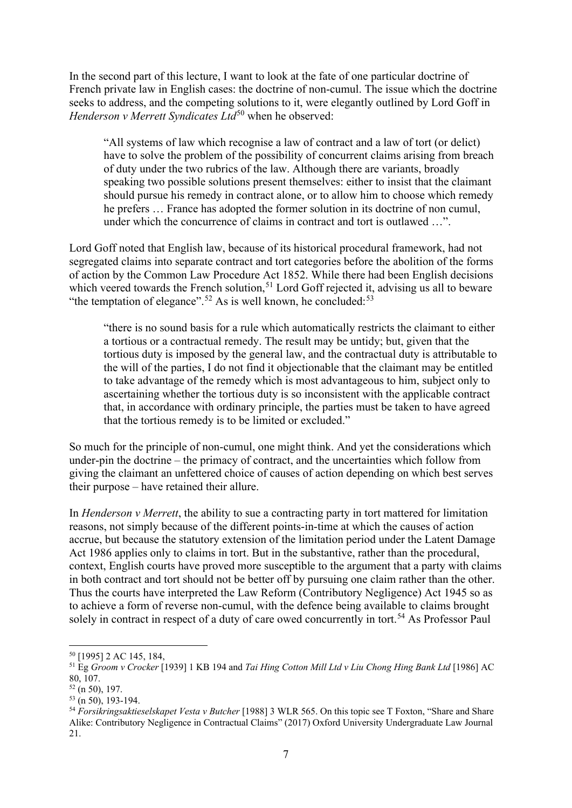In the second part of this lecture, I want to look at the fate of one particular doctrine of French private law in English cases: the doctrine of non-cumul. The issue which the doctrine seeks to address, and the competing solutions to it, were elegantly outlined by Lord Goff in *Henderson v Merrett Syndicates Ltd*<sup>[50](#page-6-0)</sup> when he observed:

"All systems of law which recognise a law of contract and a law of tort (or delict) have to solve the problem of the possibility of concurrent claims arising from breach of duty under the two rubrics of the law. Although there are variants, broadly speaking two possible solutions present themselves: either to insist that the claimant should pursue his remedy in contract alone, or to allow him to choose which remedy he prefers … France has adopted the former solution in its doctrine of non cumul, under which the concurrence of claims in contract and tort is outlawed ...".

Lord Goff noted that English law, because of its historical procedural framework, had not segregated claims into separate contract and tort categories before the abolition of the forms of action by the Common Law Procedure Act 1852. While there had been English decisions which veered towards the French solution,<sup>[51](#page-6-1)</sup> Lord Goff rejected it, advising us all to beware "the temptation of elegance".<sup>[52](#page-6-2)</sup> As is well known, he concluded:<sup>[53](#page-6-3)</sup>

"there is no sound basis for a rule which automatically restricts the claimant to either a tortious or a contractual remedy. The result may be untidy; but, given that the tortious duty is imposed by the general law, and the contractual duty is attributable to the will of the parties, I do not find it objectionable that the claimant may be entitled to take advantage of the remedy which is most advantageous to him, subject only to ascertaining whether the tortious duty is so inconsistent with the applicable contract that, in accordance with ordinary principle, the parties must be taken to have agreed that the tortious remedy is to be limited or excluded."

So much for the principle of non-cumul, one might think. And yet the considerations which under-pin the doctrine – the primacy of contract, and the uncertainties which follow from giving the claimant an unfettered choice of causes of action depending on which best serves their purpose – have retained their allure.

In *Henderson v Merrett*, the ability to sue a contracting party in tort mattered for limitation reasons, not simply because of the different points-in-time at which the causes of action accrue, but because the statutory extension of the limitation period under the Latent Damage Act 1986 applies only to claims in tort. But in the substantive, rather than the procedural, context, English courts have proved more susceptible to the argument that a party with claims in both contract and tort should not be better off by pursuing one claim rather than the other. Thus the courts have interpreted the Law Reform (Contributory Negligence) Act 1945 so as to achieve a form of reverse non-cumul, with the defence being available to claims brought solely in contract in respect of a duty of care owed concurrently in tort.<sup>[54](#page-6-4)</sup> As Professor Paul

<span id="page-6-1"></span><span id="page-6-0"></span><sup>50</sup> [1995] 2 AC 145, 184, 51 Eg *Groom v Crocker* [1939] 1 KB 194 and *Tai Hing Cotton Mill Ltd v Liu Chong Hing Bank Ltd* [1986] AC 80, 107.

<span id="page-6-2"></span> $52$  (n 50), 197.

<span id="page-6-3"></span> $\frac{(160)}{53}$  (n 50), 193-194.

<span id="page-6-4"></span><sup>54</sup> *Forsikringsaktieselskapet Vesta v Butcher* [1988] 3 WLR 565. On this topic see T Foxton, "Share and Share Alike: Contributory Negligence in Contractual Claims" (2017) Oxford University Undergraduate Law Journal 21.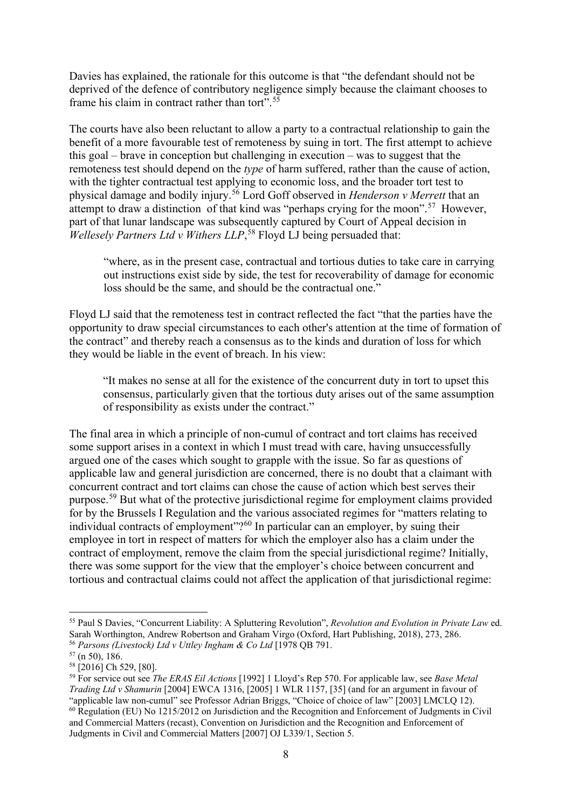Davies has explained, the rationale for this outcome is that "the defendant should not be deprived of the defence of contributory negligence simply because the claimant chooses to frame his claim in contract rather than tort".<sup>[55](#page-7-0)</sup>

The courts have also been reluctant to allow a party to a contractual relationship to gain the benefit of a more favourable test of remoteness by suing in tort. The first attempt to achieve this goal – brave in conception but challenging in execution – was to suggest that the remoteness test should depend on the *type* of harm suffered, rather than the cause of action, with the tighter contractual test applying to economic loss, and the broader tort test to physical damage and bodily injury.[56](#page-7-1) Lord Goff observed in *Henderson v Merrett* that an attempt to draw a distinction of that kind was "perhaps crying for the moon".<sup>[57](#page-7-2)</sup> However, part of that lunar landscape was subsequently captured by Court of Appeal decision in *Wellesely Partners Ltd v Withers LLP*, [58](#page-7-3) Floyd LJ being persuaded that:

"where, as in the present case, contractual and tortious duties to take care in carrying out instructions exist side by side, the test for recoverability of damage for economic loss should be the same, and should be the contractual one."

Floyd LJ said that the remoteness test in contract reflected the fact "that the parties have the opportunity to draw special circumstances to each other's attention at the time of formation of the contract" and thereby reach a consensus as to the kinds and duration of loss for which they would be liable in the event of breach. In his view:

"It makes no sense at all for the existence of the concurrent duty in tort to upset this consensus, particularly given that the tortious duty arises out of the same assumption of responsibility as exists under the contract."

The final area in which a principle of non-cumul of contract and tort claims has received some support arises in a context in which I must tread with care, having unsuccessfully argued one of the cases which sought to grapple with the issue. So far as questions of applicable law and general jurisdiction are concerned, there is no doubt that a claimant with concurrent contract and tort claims can chose the cause of action which best serves their purpose.[59](#page-7-4) But what of the protective jurisdictional regime for employment claims provided for by the Brussels I Regulation and the various associated regimes for "matters relating to individual contracts of employment"?<sup>[60](#page-7-5)</sup> In particular can an employer, by suing their employee in tort in respect of matters for which the employer also has a claim under the contract of employment, remove the claim from the special jurisdictional regime? Initially, there was some support for the view that the employer's choice between concurrent and tortious and contractual claims could not affect the application of that jurisdictional regime:

<span id="page-7-0"></span><sup>55</sup> Paul S Davies, "Concurrent Liability: A Spluttering Revolution", *Revolution and Evolution in Private Law* ed. Sarah Worthington, Andrew Robertson and Graham Virgo (Oxford, Hart Publishing, 2018), 273, 286.

<span id="page-7-2"></span><span id="page-7-1"></span><sup>&</sup>lt;sup>56</sup> *Parsons (Livestock) Ltd v Uttley Ingham & Co Ltd* [1978 QB 791.<br><sup>57</sup> (n 50), 186.<br><sup>58</sup> [2016] Ch 529, [80].

<span id="page-7-4"></span><span id="page-7-3"></span><sup>58</sup> [2016] Ch 529, [80]. 59 For service out see *The ERAS Eil Actions* [1992] 1 Lloyd's Rep 570. For applicable law, see *Base Metal Trading Ltd v Shamurin* [2004] EWCA 1316, [2005] 1 WLR 1157, [35] (and for an argument in favour of

<span id="page-7-5"></span> $^{60}$  Regulation (EU) No 1215/2012 on Jurisdiction and the Recognition and Enforcement of Judgments in Civil and Commercial Matters (recast), Convention on Jurisdiction and the Recognition and Enforcement of Judgments in Civil and Commercial Matters [2007] OJ L339/1, Section 5.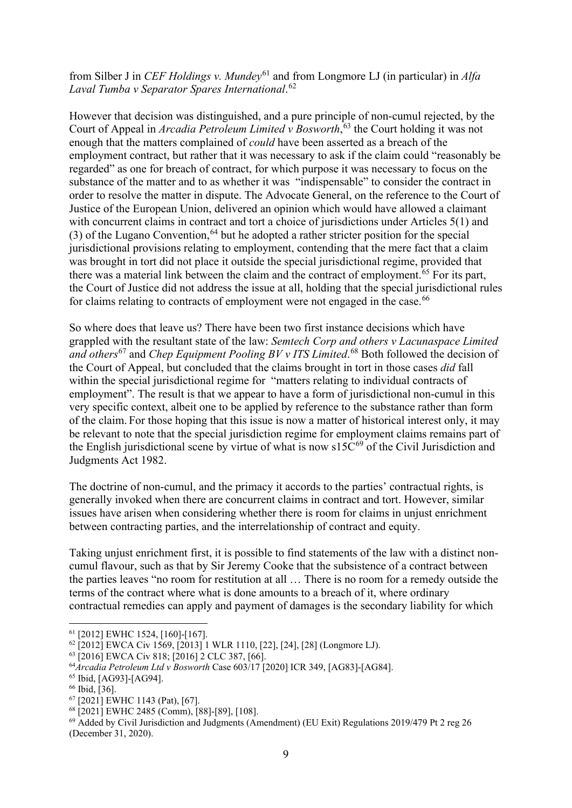from Silber J in *CEF Holdings v. Mundey*[61](#page-8-0) and from Longmore LJ (in particular) in *Alfa Laval Tumba v Separator Spares International*. [62](#page-8-1) 

However that decision was distinguished, and a pure principle of non-cumul rejected, by the Court of Appeal in *Arcadia Petroleum Limited v Bosworth*, [63](#page-8-2) the Court holding it was not enough that the matters complained of *could* have been asserted as a breach of the employment contract, but rather that it was necessary to ask if the claim could "reasonably be regarded" as one for breach of contract, for which purpose it was necessary to focus on the substance of the matter and to as whether it was "indispensable" to consider the contract in order to resolve the matter in dispute. The Advocate General, on the reference to the Court of Justice of the European Union, delivered an opinion which would have allowed a claimant with concurrent claims in contract and tort a choice of jurisdictions under Articles 5(1) and (3) of the Lugano Convention,<sup>64</sup> but he adopted a rather stricter position for the special jurisdictional provisions relating to employment, contending that the mere fact that a claim was brought in tort did not place it outside the special jurisdictional regime, provided that there was a material link between the claim and the contract of employment.<sup>[65](#page-8-4)</sup> For its part, the Court of Justice did not address the issue at all, holding that the special jurisdictional rules for claims relating to contracts of employment were not engaged in the case.<sup>[66](#page-8-5)</sup>

So where does that leave us? There have been two first instance decisions which have grappled with the resultant state of the law: *Semtech Corp and others v Lacunaspace Limited and others*[67](#page-8-6) and *Chep Equipment Pooling BV v ITS Limited*. [68](#page-8-7) Both followed the decision of the Court of Appeal, but concluded that the claims brought in tort in those cases *did* fall within the special jurisdictional regime for "matters relating to individual contracts of employment". The result is that we appear to have a form of jurisdictional non-cumul in this very specific context, albeit one to be applied by reference to the substance rather than form of the claim. For those hoping that this issue is now a matter of historical interest only, it may be relevant to note that the special jurisdiction regime for employment claims remains part of the English jurisdictional scene by virtue of what is now  $s15C^{69}$  $s15C^{69}$  $s15C^{69}$  of the Civil Jurisdiction and Judgments Act 1982.

The doctrine of non-cumul, and the primacy it accords to the parties' contractual rights, is generally invoked when there are concurrent claims in contract and tort. However, similar issues have arisen when considering whether there is room for claims in unjust enrichment between contracting parties, and the interrelationship of contract and equity.

Taking unjust enrichment first, it is possible to find statements of the law with a distinct noncumul flavour, such as that by Sir Jeremy Cooke that the subsistence of a contract between the parties leaves "no room for restitution at all … There is no room for a remedy outside the terms of the contract where what is done amounts to a breach of it, where ordinary contractual remedies can apply and payment of damages is the secondary liability for which

<span id="page-8-0"></span><sup>&</sup>lt;sup>61</sup> [2012] EWHC 1524, [160]-[167].<br><sup>62</sup> [2012] EWCA Civ 1569, [2013] 1 WLR 1110, [22], [24], [28] (Longmore LJ).

<span id="page-8-2"></span><span id="page-8-1"></span><sup>63</sup> [2016] EWCA Civ 818; [2016] 2 CLC 387, [66].

<span id="page-8-3"></span><sup>64</sup>*Arcadia Petroleum Ltd v Bosworth* Case 603/17 [2020] ICR 349, [AG83]-[AG84]. 65 Ibid, [AG93]-[AG94].

<span id="page-8-5"></span><span id="page-8-4"></span><sup>&</sup>lt;sup>66</sup> Ibid, [36].<br><sup>67</sup> [2021] EWHC 1143 (Pat), [67].

<span id="page-8-8"></span><span id="page-8-7"></span><span id="page-8-6"></span><sup>&</sup>lt;sup>68</sup>  $\left[2021\right]$  EWHC 2485 (Comm),  $\left[88\right]$ - $\left[89\right]$ ,  $\left[108\right]$ .<br><sup>69</sup> Added by Civil Jurisdiction and Judgments (Amendment) (EU Exit) Regulations 2019/479 Pt 2 reg 26 (December 31, 2020).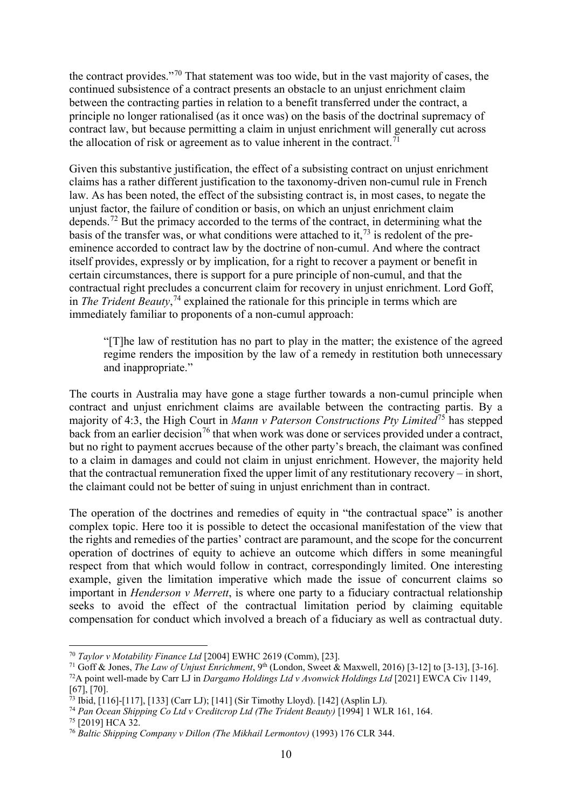the contract provides."[70](#page-9-0) That statement was too wide, but in the vast majority of cases, the continued subsistence of a contract presents an obstacle to an unjust enrichment claim between the contracting parties in relation to a benefit transferred under the contract, a principle no longer rationalised (as it once was) on the basis of the doctrinal supremacy of contract law, but because permitting a claim in unjust enrichment will generally cut across the allocation of risk or agreement as to value inherent in the contract.<sup> $71$ </sup>

Given this substantive justification, the effect of a subsisting contract on unjust enrichment claims has a rather different justification to the taxonomy-driven non-cumul rule in French law. As has been noted, the effect of the subsisting contract is, in most cases, to negate the unjust factor, the failure of condition or basis, on which an unjust enrichment claim depends.[72](#page-9-2) But the primacy accorded to the terms of the contract, in determining what the basis of the transfer was, or what conditions were attached to it,<sup>[73](#page-9-3)</sup> is redolent of the preeminence accorded to contract law by the doctrine of non-cumul. And where the contract itself provides, expressly or by implication, for a right to recover a payment or benefit in certain circumstances, there is support for a pure principle of non-cumul, and that the contractual right precludes a concurrent claim for recovery in unjust enrichment. Lord Goff, in *The Trident Beauty*, [74](#page-9-4) explained the rationale for this principle in terms which are immediately familiar to proponents of a non-cumul approach:

"[T]he law of restitution has no part to play in the matter; the existence of the agreed regime renders the imposition by the law of a remedy in restitution both unnecessary and inappropriate."

The courts in Australia may have gone a stage further towards a non-cumul principle when contract and unjust enrichment claims are available between the contracting partis. By a majority of 4:3, the High Court in *Mann v Paterson Constructions Pty Limited*[75](#page-9-5) has stepped back from an earlier decision<sup>[76](#page-9-6)</sup> that when work was done or services provided under a contract, but no right to payment accrues because of the other party's breach, the claimant was confined to a claim in damages and could not claim in unjust enrichment. However, the majority held that the contractual remuneration fixed the upper limit of any restitutionary recovery – in short, the claimant could not be better of suing in unjust enrichment than in contract.

The operation of the doctrines and remedies of equity in "the contractual space" is another complex topic. Here too it is possible to detect the occasional manifestation of the view that the rights and remedies of the parties' contract are paramount, and the scope for the concurrent operation of doctrines of equity to achieve an outcome which differs in some meaningful respect from that which would follow in contract, correspondingly limited. One interesting example, given the limitation imperative which made the issue of concurrent claims so important in *Henderson v Merrett*, is where one party to a fiduciary contractual relationship seeks to avoid the effect of the contractual limitation period by claiming equitable compensation for conduct which involved a breach of a fiduciary as well as contractual duty.

<span id="page-9-1"></span><span id="page-9-0"></span><sup>&</sup>lt;sup>70</sup> Taylor v Motability Finance Ltd [2004] EWHC 2619 (Comm), [23].<br><sup>71</sup> Goff & Jones, *The Law of Unjust Enrichment*, 9<sup>th</sup> (London, Sweet & Maxwell, 2016) [3-12] to [3-13], [3-16].<br><sup>72</sup>A point well-made by Carr LJ in *D* [67], [70].<br><sup>73</sup> Ibid. [116]-[117], [133] (Carr LJ); [141] (Sir Timothy Lloyd). [142] (Asplin LJ).

<span id="page-9-3"></span><span id="page-9-2"></span>

<span id="page-9-4"></span><sup>&</sup>lt;sup>74</sup> Pan Ocean Shipping Co Ltd v Creditcrop Ltd (The Trident Beauty) [1994] 1 WLR 161, 164.

<span id="page-9-5"></span> $75$  [2019] HCA 32.

<span id="page-9-6"></span><sup>76</sup> *Baltic Shipping Company v Dillon (The Mikhail Lermontov)* (1993) 176 CLR 344.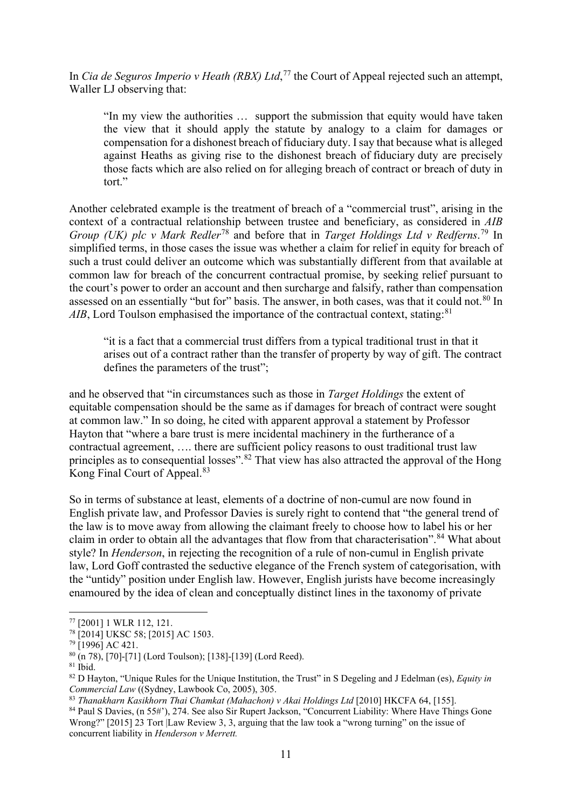In *Cia de Seguros Imperio v Heath (RBX) Ltd*, [77](#page-10-0) the Court of Appeal rejected such an attempt, Waller LJ observing that:

"In my view the authorities … support the submission that equity would have taken the view that it should apply the statute by analogy to a claim for damages or compensation for a dishonest breach of fiduciary duty. I say that because what is alleged against Heaths as giving rise to the dishonest breach of fiduciary duty are precisely those facts which are also relied on for alleging breach of contract or breach of duty in tort"

Another celebrated example is the treatment of breach of a "commercial trust", arising in the context of a contractual relationship between trustee and beneficiary, as considered in *AIB Group (UK) plc v Mark Redler*[78](#page-10-1) and before that in *Target Holdings Ltd v Redferns*. [79](#page-10-2) In simplified terms, in those cases the issue was whether a claim for relief in equity for breach of such a trust could deliver an outcome which was substantially different from that available at common law for breach of the concurrent contractual promise, by seeking relief pursuant to the court's power to order an account and then surcharge and falsify, rather than compensation assessed on an essentially "but for" basis. The answer, in both cases, was that it could not.<sup>[80](#page-10-3)</sup> In AIB, Lord Toulson emphasised the importance of the contractual context, stating:<sup>[81](#page-10-4)</sup>

"it is a fact that a commercial trust differs from a typical traditional trust in that it arises out of a contract rather than the transfer of property by way of gift. The contract defines the parameters of the trust";

and he observed that "in circumstances such as those in *Target Holdings* the extent of equitable compensation should be the same as if damages for breach of contract were sought at common law." In so doing, he cited with apparent approval a statement by Professor Hayton that "where a bare trust is mere incidental machinery in the furtherance of a contractual agreement, …. there are sufficient policy reasons to oust traditional trust law principles as to consequential losses".<sup>[82](#page-10-5)</sup> That view has also attracted the approval of the Hong Kong Final Court of Appeal.<sup>[83](#page-10-6)</sup>

So in terms of substance at least, elements of a doctrine of non-cumul are now found in English private law, and Professor Davies is surely right to contend that "the general trend of the law is to move away from allowing the claimant freely to choose how to label his or her claim in order to obtain all the advantages that flow from that characterisation".<sup>84</sup> What about style? In *Henderson*, in rejecting the recognition of a rule of non-cumul in English private law, Lord Goff contrasted the seductive elegance of the French system of categorisation, with the "untidy" position under English law. However, English jurists have become increasingly enamoured by the idea of clean and conceptually distinct lines in the taxonomy of private

<span id="page-10-0"></span><sup>77</sup> [2001] 1 WLR 112, 121. 78 [2014] UKSC 58; [2015] AC 1503.

<span id="page-10-2"></span><span id="page-10-1"></span> $^{79}$  [1996] AC 421.

<span id="page-10-3"></span> $\frac{80}{(n\ 78)}$ , [70]-[71] (Lord Toulson); [138]-[139] (Lord Reed).  $\frac{81}{(n\ 78)}$  Ibid.

<span id="page-10-5"></span><span id="page-10-4"></span><sup>&</sup>lt;sup>82</sup> D Hayton, "Unique Rules for the Unique Institution, the Trust" in S Degeling and J Edelman (es), *Equity in Commercial Law* ((Sydney, Lawbook Co. 2005), 305.

<span id="page-10-6"></span><sup>&</sup>lt;sup>83</sup> Thanakharn Kasikhorn Thai Chamkat (Mahachon) v Akai Holdings Ltd [2010] HKCFA 64, [155].

<span id="page-10-7"></span><sup>84</sup> Paul S Davies, (n 55#'), 274. See also Sir Rupert Jackson, "Concurrent Liability: Where Have Things Gone Wrong?" [2015] 23 Tort |Law Review 3, 3, arguing that the law took a "wrong turning" on the issue of concurrent liability in *Henderson v Merrett.*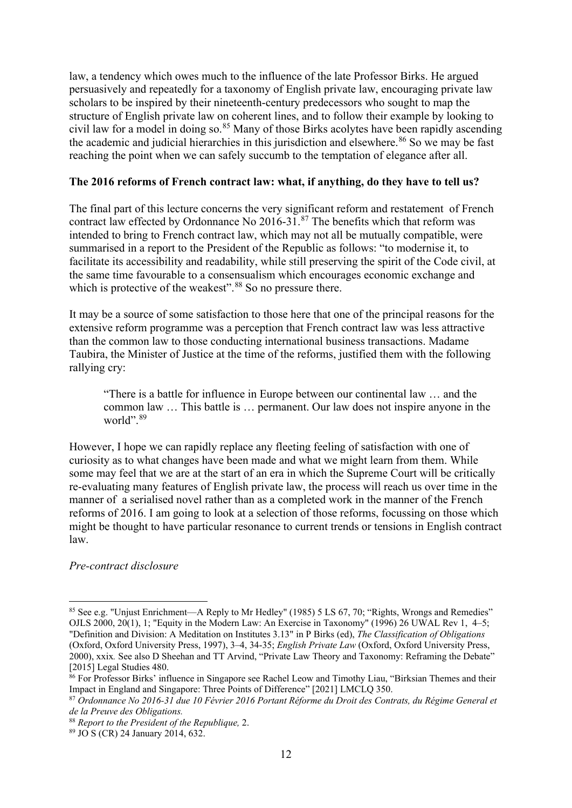law, a tendency which owes much to the influence of the late Professor Birks. He argued persuasively and repeatedly for a taxonomy of English private law, encouraging private law scholars to be inspired by their nineteenth-century predecessors who sought to map the structure of English private law on coherent lines, and to follow their example by looking to civil law for a model in doing so. [85](#page-11-0) Many of those Birks acolytes have been rapidly ascending the academic and judicial hierarchies in this jurisdiction and elsewhere. $86$  So we may be fast reaching the point when we can safely succumb to the temptation of elegance after all.

## **The 2016 reforms of French contract law: what, if anything, do they have to tell us?**

The final part of this lecture concerns the very significant reform and restatement of French contract law effected by Ordonnance No 2016-31.[87](#page-11-2) The benefits which that reform was intended to bring to French contract law, which may not all be mutually compatible, were summarised in a report to the President of the Republic as follows: "to modernise it, to facilitate its accessibility and readability, while still preserving the spirit of the Code civil, at the same time favourable to a consensualism which encourages economic exchange and which is protective of the weakest".<sup>[88](#page-11-3)</sup> So no pressure there.

It may be a source of some satisfaction to those here that one of the principal reasons for the extensive reform programme was a perception that French contract law was less attractive than the common law to those conducting international business transactions. Madame Taubira, the Minister of Justice at the time of the reforms, justified them with the following rallying cry:

"There is a battle for influence in Europe between our continental law … and the common law … This battle is … permanent. Our law does not inspire anyone in the world".<sup>[89](#page-11-4)</sup>

However, I hope we can rapidly replace any fleeting feeling of satisfaction with one of curiosity as to what changes have been made and what we might learn from them. While some may feel that we are at the start of an era in which the Supreme Court will be critically re-evaluating many features of English private law, the process will reach us over time in the manner of a serialised novel rather than as a completed work in the manner of the French reforms of 2016. I am going to look at a selection of those reforms, focussing on those which might be thought to have particular resonance to current trends or tensions in English contract law.

## *Pre-contract disclosure*

<span id="page-11-0"></span><sup>85</sup> See e.g. "Unjust Enrichment—A Reply to Mr Hedley" (1985) 5 LS 67, 70; "Rights, Wrongs and Remedies" OJLS 2000, 20(1), 1; "Equity in the Modern Law: An Exercise in Taxonomy" (1996) 26 UWAL Rev 1, 4–5; "Definition and Division: A Meditation on Institutes 3.13" in P Birks (ed), *The Classification of Obligations* (Oxford, Oxford University Press, 1997), 3–4, 34-35; *English Private Law* (Oxford, Oxford University Press, 2000), xxix*.* See also D Sheehan and TT Arvind, "Private Law Theory and Taxonomy: Reframing the Debate" [2015] Legal Studies 480.

<span id="page-11-1"></span><sup>&</sup>lt;sup>86</sup> For Professor Birks' influence in Singapore see Rachel Leow and Timothy Liau, "Birksian Themes and their Impact in England and Singapore: Three Points of Difference" [2021] LMCLQ 350.

<span id="page-11-2"></span><sup>87</sup> *Ordonnance No 2016-31 due 10 Février 2016 Portant Réforme du Droit des Contrats, du Régime General et de la Preuve des Obligations.*

<span id="page-11-3"></span><sup>88</sup> *Report to the President of the Republique,* 2.

<span id="page-11-4"></span><sup>89</sup> JO S (CR) 24 January 2014, 632.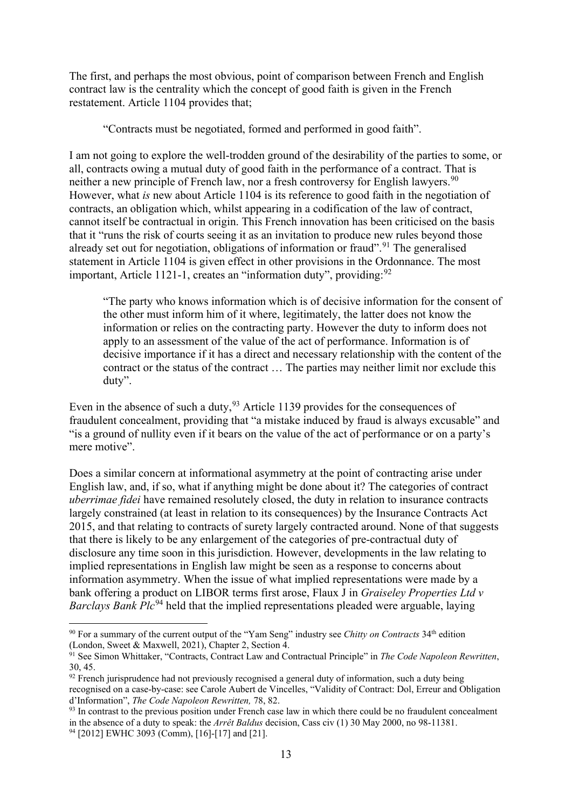The first, and perhaps the most obvious, point of comparison between French and English contract law is the centrality which the concept of good faith is given in the French restatement. Article 1104 provides that;

"Contracts must be negotiated, formed and performed in good faith".

I am not going to explore the well-trodden ground of the desirability of the parties to some, or all, contracts owing a mutual duty of good faith in the performance of a contract. That is neither a new principle of French law, nor a fresh controversy for English lawyers.<sup>[90](#page-12-0)</sup> However, what *is* new about Article 1104 is its reference to good faith in the negotiation of contracts, an obligation which, whilst appearing in a codification of the law of contract, cannot itself be contractual in origin. This French innovation has been criticised on the basis that it "runs the risk of courts seeing it as an invitation to produce new rules beyond those already set out for negotiation, obligations of information or fraud".<sup>[91](#page-12-1)</sup> The generalised statement in Article 1104 is given effect in other provisions in the Ordonnance. The most important, Article 1121-1, creates an "information duty", providing:  $92$ 

"The party who knows information which is of decisive information for the consent of the other must inform him of it where, legitimately, the latter does not know the information or relies on the contracting party. However the duty to inform does not apply to an assessment of the value of the act of performance. Information is of decisive importance if it has a direct and necessary relationship with the content of the contract or the status of the contract … The parties may neither limit nor exclude this duty".

Even in the absence of such a duty,  $93$  Article 1139 provides for the consequences of fraudulent concealment, providing that "a mistake induced by fraud is always excusable" and "is a ground of nullity even if it bears on the value of the act of performance or on a party's mere motive".

Does a similar concern at informational asymmetry at the point of contracting arise under English law, and, if so, what if anything might be done about it? The categories of contract *uberrimae fidei* have remained resolutely closed, the duty in relation to insurance contracts largely constrained (at least in relation to its consequences) by the Insurance Contracts Act 2015, and that relating to contracts of surety largely contracted around. None of that suggests that there is likely to be any enlargement of the categories of pre-contractual duty of disclosure any time soon in this jurisdiction. However, developments in the law relating to implied representations in English law might be seen as a response to concerns about information asymmetry. When the issue of what implied representations were made by a bank offering a product on LIBOR terms first arose, Flaux J in *Graiseley Properties Ltd v Barclays Bank Plc*<sup>[94](#page-12-4)</sup> held that the implied representations pleaded were arguable, laying

<span id="page-12-0"></span><sup>90</sup> For a summary of the current output of the "Yam Seng" industry see *Chitty on Contracts* 34th edition (London, Sweet & Maxwell, 2021), Chapter 2, Section 4.

<span id="page-12-1"></span><sup>&</sup>lt;sup>91</sup> See Simon Whittaker, "Contracts, Contract Law and Contractual Principle" in *The Code Napoleon Rewritten*, 30, 45.<br><sup>92</sup> French jurisprudence had not previously recognised a general duty of information, such a duty being

<span id="page-12-2"></span>recognised on a case-by-case: see Carole Aubert de Vincelles, "Validity of Contract: Dol, Erreur and Obligation d'Information", *The Code Napoleon Rewritten,* 78, 82.

<span id="page-12-4"></span><span id="page-12-3"></span><sup>&</sup>lt;sup>93</sup> In contrast to the previous position under French case law in which there could be no fraudulent concealment in the absence of a duty to speak: the *Arrêt Baldus* decision, Cass civ (1) 30 May 2000, no 98-11381. <sup>94</sup> [2012] EWHC 3093 (Comm), [16]-[17] and [21].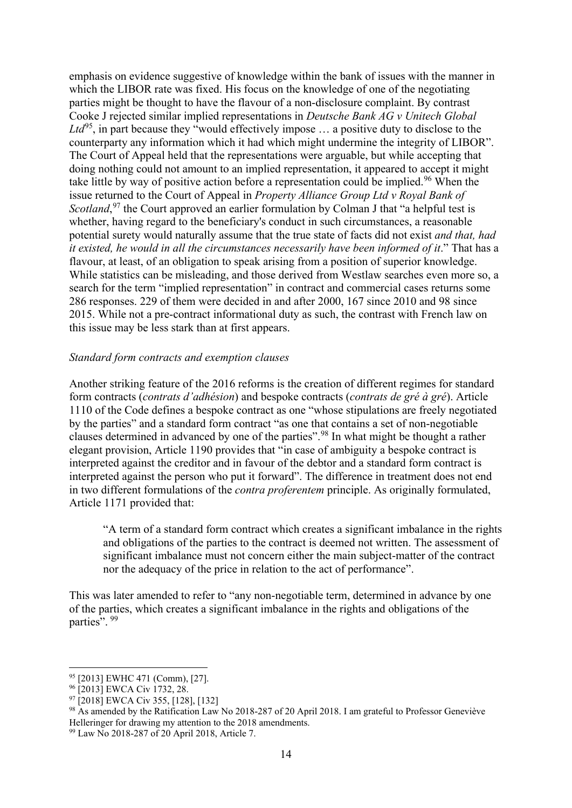emphasis on evidence suggestive of knowledge within the bank of issues with the manner in which the LIBOR rate was fixed. His focus on the knowledge of one of the negotiating parties might be thought to have the flavour of a non-disclosure complaint. By contrast Cooke J rejected similar implied representations in *Deutsche Bank AG v Unitech Global Ltd*[95,](#page-13-0) in part because they "would effectively impose … a positive duty to disclose to the counterparty any information which it had which might undermine the integrity of LIBOR". The Court of Appeal held that the representations were arguable, but while accepting that doing nothing could not amount to an implied representation, it appeared to accept it might take little by way of positive action before a representation could be implied.<sup>[96](#page-13-1)</sup> When the issue returned to the Court of Appeal in *Property Alliance Group Ltd v Royal Bank of*  Scotland,<sup>97</sup> the Court approved an earlier formulation by Colman J that "a helpful test is whether, having regard to the beneficiary's conduct in such circumstances, a reasonable potential surety would naturally assume that the true state of facts did not exist *and that, had it existed, he would in all the circumstances necessarily have been informed of it*." That has a flavour, at least, of an obligation to speak arising from a position of superior knowledge. While statistics can be misleading, and those derived from Westlaw searches even more so, a search for the term "implied representation" in contract and commercial cases returns some 286 responses. 229 of them were decided in and after 2000, 167 since 2010 and 98 since 2015. While not a pre-contract informational duty as such, the contrast with French law on this issue may be less stark than at first appears.

#### *Standard form contracts and exemption clauses*

Another striking feature of the 2016 reforms is the creation of different regimes for standard form contracts (*contrats d'adhésion*) and bespoke contracts (*contrats de gré à gré*). Article 1110 of the Code defines a bespoke contract as one "whose stipulations are freely negotiated by the parties" and a standard form contract "as one that contains a set of non-negotiable clauses determined in advanced by one of the parties". [98](#page-13-3) In what might be thought a rather elegant provision, Article 1190 provides that "in case of ambiguity a bespoke contract is interpreted against the creditor and in favour of the debtor and a standard form contract is interpreted against the person who put it forward". The difference in treatment does not end in two different formulations of the *contra proferentem* principle. As originally formulated, Article 1171 provided that:

"A term of a standard form contract which creates a significant imbalance in the rights and obligations of the parties to the contract is deemed not written. The assessment of significant imbalance must not concern either the main subject-matter of the contract nor the adequacy of the price in relation to the act of performance".

This was later amended to refer to "any non-negotiable term, determined in advance by one of the parties, which creates a significant imbalance in the rights and obligations of the parties". [99](#page-13-4)

<span id="page-13-0"></span><sup>95</sup> [2013] EWHC 471 (Comm), [27].

<span id="page-13-1"></span><sup>&</sup>lt;sup>96</sup> [2013] EWCA Civ 1732, 28.<br><sup>97</sup> [2018] EWCA Civ 355, [128], [132]

<span id="page-13-3"></span><span id="page-13-2"></span><sup>&</sup>lt;sup>98</sup> As amended by the Ratification Law No 2018-287 of 20 April 2018. I am grateful to Professor Geneviève Helleringer for drawing my attention to the 2018 amendments.

<span id="page-13-4"></span><sup>99</sup> Law No 2018-287 of 20 April 2018, Article 7.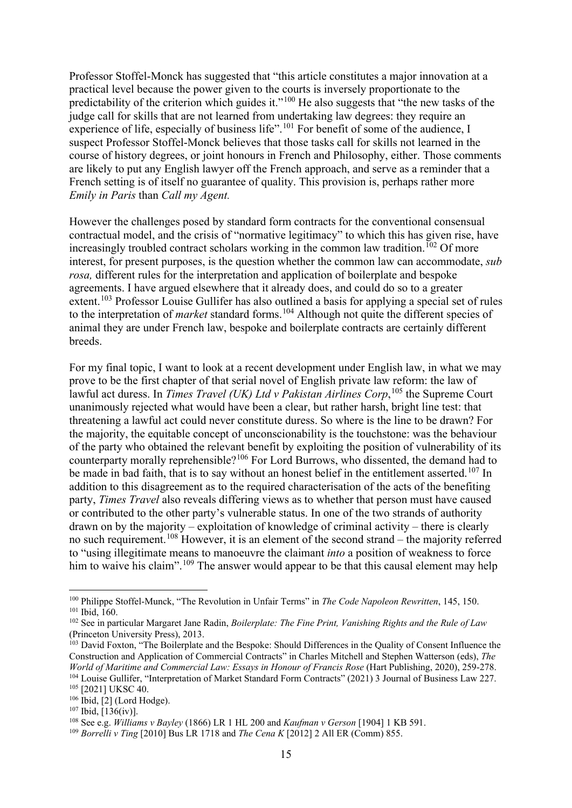Professor Stoffel-Monck has suggested that "this article constitutes a major innovation at a practical level because the power given to the courts is inversely proportionate to the predictability of the criterion which guides it."[100](#page-14-0) He also suggests that "the new tasks of the judge call for skills that are not learned from undertaking law degrees: they require an experience of life, especially of business life".<sup>[101](#page-14-1)</sup> For benefit of some of the audience, I suspect Professor Stoffel-Monck believes that those tasks call for skills not learned in the course of history degrees, or joint honours in French and Philosophy, either. Those comments are likely to put any English lawyer off the French approach, and serve as a reminder that a French setting is of itself no guarantee of quality. This provision is, perhaps rather more *Emily in Paris* than *Call my Agent.* 

However the challenges posed by standard form contracts for the conventional consensual contractual model, and the crisis of "normative legitimacy" to which this has given rise, have increasingly troubled contract scholars working in the common law tradition.<sup>[102](#page-14-2)</sup> Of more interest, for present purposes, is the question whether the common law can accommodate, *sub rosa,* different rules for the interpretation and application of boilerplate and bespoke agreements. I have argued elsewhere that it already does, and could do so to a greater extent.<sup>[103](#page-14-3)</sup> Professor Louise Gullifer has also outlined a basis for applying a special set of rules to the interpretation of *market* standard forms.<sup>[104](#page-14-4)</sup> Although not quite the different species of animal they are under French law, bespoke and boilerplate contracts are certainly different breeds.

For my final topic, I want to look at a recent development under English law, in what we may prove to be the first chapter of that serial novel of English private law reform: the law of lawful act duress. In *Times Travel (UK) Ltd v Pakistan Airlines Corp*, [105](#page-14-5) the Supreme Court unanimously rejected what would have been a clear, but rather harsh, bright line test: that threatening a lawful act could never constitute duress. So where is the line to be drawn? For the majority, the equitable concept of unconscionability is the touchstone: was the behaviour of the party who obtained the relevant benefit by exploiting the position of vulnerability of its counterparty morally reprehensible?[106](#page-14-6) For Lord Burrows, who dissented, the demand had to be made in bad faith, that is to say without an honest belief in the entitlement asserted.<sup>[107](#page-14-7)</sup> In addition to this disagreement as to the required characterisation of the acts of the benefiting party, *Times Travel* also reveals differing views as to whether that person must have caused or contributed to the other party's vulnerable status. In one of the two strands of authority drawn on by the majority – exploitation of knowledge of criminal activity – there is clearly no such requirement.<sup>[108](#page-14-8)</sup> However, it is an element of the second strand – the majority referred to "using illegitimate means to manoeuvre the claimant *into* a position of weakness to force him to waive his claim".<sup>[109](#page-14-9)</sup> The answer would appear to be that this causal element may help

<span id="page-14-0"></span><sup>&</sup>lt;sup>100</sup> Philippe Stoffel-Munck, "The Revolution in Unfair Terms" in *The Code Napoleon Rewritten*, 145, 150.<br><sup>101</sup> Ibid, 160.

<span id="page-14-2"></span><span id="page-14-1"></span><sup>102</sup> See in particular Margaret Jane Radin, *Boilerplate: The Fine Print, Vanishing Rights and the Rule of Law*  (Princeton University Press), 2013.

<span id="page-14-3"></span><sup>&</sup>lt;sup>103</sup> David Foxton, "The Boilerplate and the Bespoke: Should Differences in the Quality of Consent Influence the Construction and Application of Commercial Contracts" in Charles Mitchell and Stephen Watterson (eds), *The* 

<span id="page-14-4"></span><sup>&</sup>lt;sup>104</sup> Louise Gullifer, "Interpretation of Market Standard Form Contracts" (2021) 3 Journal of Business Law 227.

<sup>105</sup> [2021] UKSC 40.

<span id="page-14-6"></span><span id="page-14-5"></span><sup>106</sup> Ibid, [2] (Lord Hodge).

<span id="page-14-7"></span> $107$  Ibid, [136(iv)].

<span id="page-14-8"></span><sup>108</sup> See e.g. *Williams v Bayley* (1866) LR 1 HL 200 and *Kaufman v Gerson* [1904] 1 KB 591.

<span id="page-14-9"></span><sup>109</sup> *Borrelli v Ting* [2010] Bus LR 1718 and *The Cena K* [2012] 2 All ER (Comm) 855.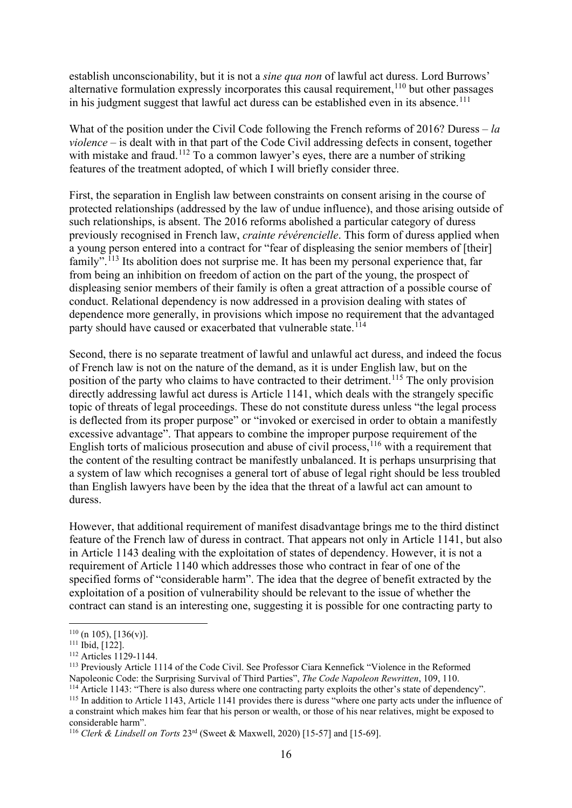establish unconscionability, but it is not a *sine qua non* of lawful act duress. Lord Burrows' alternative formulation expressly incorporates this causal requirement, <sup>110</sup> but other passages in his judgment suggest that lawful act duress can be established even in its absence.<sup>[111](#page-15-1)</sup>

What of the position under the Civil Code following the French reforms of 2016? Duress – *la violence* – is dealt with in that part of the Code Civil addressing defects in consent, together with mistake and fraud.<sup>112</sup> To a common lawyer's eyes, there are a number of striking features of the treatment adopted, of which I will briefly consider three.

First, the separation in English law between constraints on consent arising in the course of protected relationships (addressed by the law of undue influence), and those arising outside of such relationships, is absent. The 2016 reforms abolished a particular category of duress previously recognised in French law, *crainte révérencielle*. This form of duress applied when a young person entered into a contract for "fear of displeasing the senior members of [their] family".<sup>[113](#page-15-3)</sup> Its abolition does not surprise me. It has been my personal experience that, far from being an inhibition on freedom of action on the part of the young, the prospect of displeasing senior members of their family is often a great attraction of a possible course of conduct. Relational dependency is now addressed in a provision dealing with states of dependence more generally, in provisions which impose no requirement that the advantaged party should have caused or exacerbated that vulnerable state.<sup>[114](#page-15-4)</sup>

Second, there is no separate treatment of lawful and unlawful act duress, and indeed the focus of French law is not on the nature of the demand, as it is under English law, but on the position of the party who claims to have contracted to their detriment.<sup>115</sup> The only provision directly addressing lawful act duress is Article 1141, which deals with the strangely specific topic of threats of legal proceedings. These do not constitute duress unless "the legal process is deflected from its proper purpose" or "invoked or exercised in order to obtain a manifestly excessive advantage". That appears to combine the improper purpose requirement of the English torts of malicious prosecution and abuse of civil process,  $116$  with a requirement that the content of the resulting contract be manifestly unbalanced. It is perhaps unsurprising that a system of law which recognises a general tort of abuse of legal right should be less troubled than English lawyers have been by the idea that the threat of a lawful act can amount to duress.

However, that additional requirement of manifest disadvantage brings me to the third distinct feature of the French law of duress in contract. That appears not only in Article 1141, but also in Article 1143 dealing with the exploitation of states of dependency. However, it is not a requirement of Article 1140 which addresses those who contract in fear of one of the specified forms of "considerable harm". The idea that the degree of benefit extracted by the exploitation of a position of vulnerability should be relevant to the issue of whether the contract can stand is an interesting one, suggesting it is possible for one contracting party to

<span id="page-15-0"></span> $\frac{110}{111}$  (n 105), [136(v)].<br> $\frac{111}{111}$  Ibid, [122].

<span id="page-15-2"></span><span id="page-15-1"></span><sup>112</sup> Articles 1129-1144.

<span id="page-15-3"></span><sup>&</sup>lt;sup>113</sup> Previously Article 1114 of the Code Civil. See Professor Ciara Kennefick "Violence in the Reformed Napoleonic Code: the Surprising Survival of Third Parties". *The Code Napoleon Rewritten*, 109, 110.

<span id="page-15-4"></span><sup>&</sup>lt;sup>114</sup> Article 1143: "There is also duress where one contracting party exploits the other's state of dependency".

<span id="page-15-5"></span><sup>&</sup>lt;sup>115</sup> In addition to Article 1143, Article 1141 provides there is duress "where one party acts under the influence of a constraint which makes him fear that his person or wealth, or those of his near relatives, might be exposed to considerable harm".

<span id="page-15-6"></span><sup>116</sup> *Clerk & Lindsell on Torts* 23rd (Sweet & Maxwell, 2020) [15-57] and [15-69].